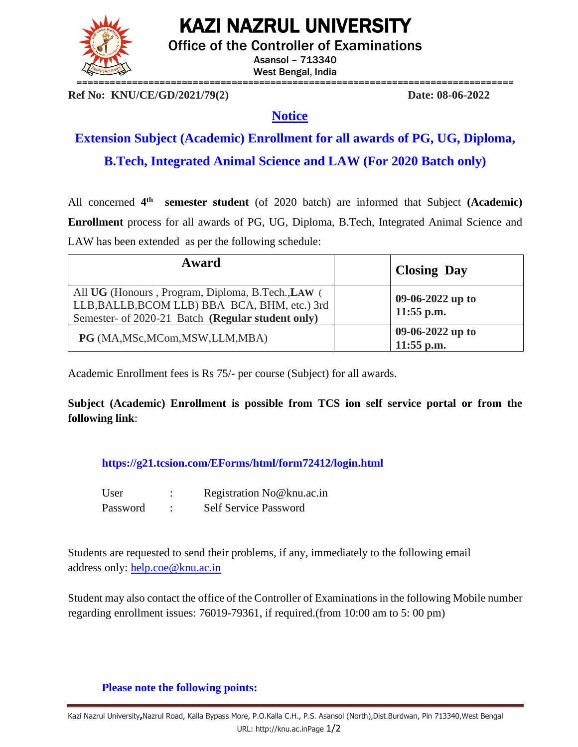KAZI NAZRUL UNIVERSITY



Office of the Controller of Examinations

Asansol – 713340 West Bengal, India

**Ref No: KNU/CE/GD/2021/79(2) Date: 08-06-2022**

## **Notice**

**Extension Subject (Academic) Enrollment for all awards of PG, UG, Diploma, B.Tech, Integrated Animal Science and LAW (For 2020 Batch only)**

All concerned 4<sup>th</sup> **semester student** (of 2020 batch) are informed that Subject **(Academic) Enrollment** process for all awards of PG, UG, Diploma, B.Tech, Integrated Animal Science and LAW has been extended as per the following schedule:

| Award                                                                                                                                                   | <b>Closing Day</b>               |
|---------------------------------------------------------------------------------------------------------------------------------------------------------|----------------------------------|
| All UG (Honours, Program, Diploma, B.Tech., LAW (<br>LLB, BALLB, BCOM LLB) BBA BCA, BHM, etc.) 3rd<br>Semester- of 2020-21 Batch (Regular student only) | 09-06-2022 up to<br>$11:55$ p.m. |
| PG (MA, MSc, MCom, MSW, LLM, MBA)                                                                                                                       | 09-06-2022 up to<br>$11:55$ p.m. |

Academic Enrollment fees is Rs 75/- per course (Subject) for all awards.

**Subject (Academic) Enrollment is possible from TCS ion self service portal or from the following link**:

**<https://g21.tcsion.com/EForms/html/form72412/login.html>**

| User     | Registration No@knu.ac.in    |
|----------|------------------------------|
| Password | <b>Self Service Password</b> |

Students are requested to send their problems, if any, immediately to the following email address only: [help.coe@knu.ac.in](mailto:help.coe@knu.ac.in)

Student may also contact the office of the Controller of Examinations in the following Mobile number regarding enrollment issues: 76019-79361, if required.(from 10:00 am to 5: 00 pm)

## **Please note the following points:**